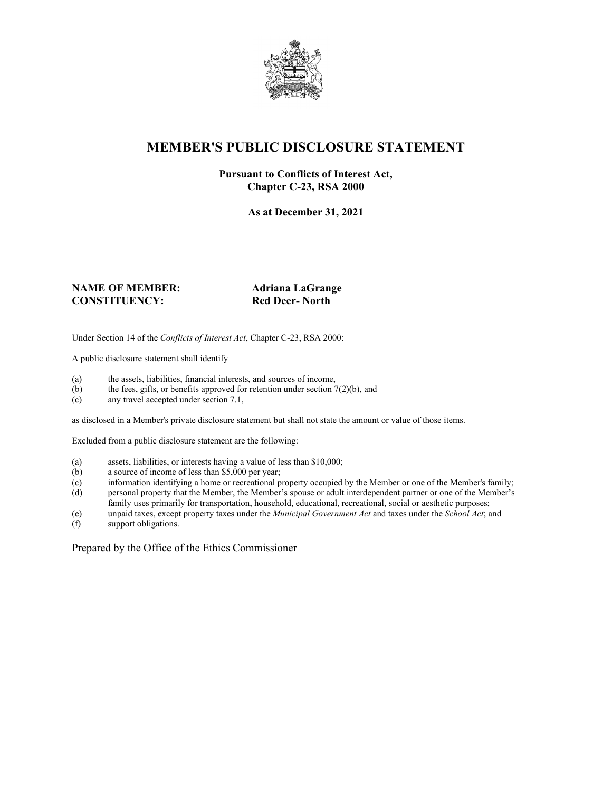

## **MEMBER'S PUBLIC DISCLOSURE STATEMENT**

#### **Pursuant to Conflicts of Interest Act, Chapter C-23, RSA 2000**

**As at December 31, 2021**

#### **NAME OF MEMBER: Adriana LaGrange CONSTITUENCY: Red Deer- North**

Under Section 14 of the *Conflicts of Interest Act*, Chapter C-23, RSA 2000:

A public disclosure statement shall identify

- (a) the assets, liabilities, financial interests, and sources of income,  $(b)$  the fees, gifts, or benefits approved for retention under section 7
- the fees, gifts, or benefits approved for retention under section  $7(2)(b)$ , and
- (c) any travel accepted under section 7.1,

as disclosed in a Member's private disclosure statement but shall not state the amount or value of those items.

Excluded from a public disclosure statement are the following:

- (a) assets, liabilities, or interests having a value of less than \$10,000;
- (b) a source of income of less than \$5,000 per year;
- (c) information identifying a home or recreational property occupied by the Member or one of the Member's family;
- (d) personal property that the Member, the Member's spouse or adult interdependent partner or one of the Member's family uses primarily for transportation, household, educational, recreational, social or aesthetic purposes;
- (e) unpaid taxes, except property taxes under the *Municipal Government Act* and taxes under the *School Act*; and
- (f) support obligations.

Prepared by the Office of the Ethics Commissioner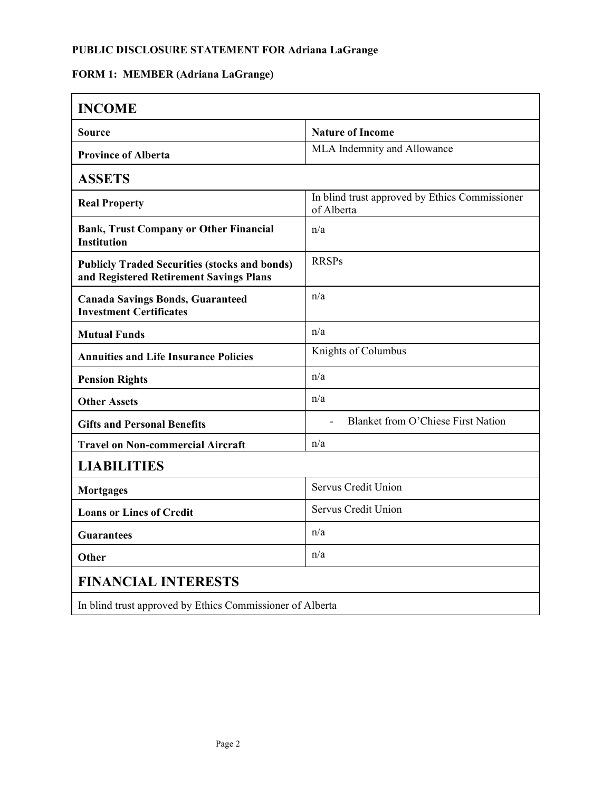## **PUBLIC DISCLOSURE STATEMENT FOR Adriana LaGrange**

# **FORM 1: MEMBER (Adriana LaGrange)**

| <b>INCOME</b>                                                                                   |                                                              |  |
|-------------------------------------------------------------------------------------------------|--------------------------------------------------------------|--|
| Source                                                                                          | <b>Nature of Income</b>                                      |  |
| <b>Province of Alberta</b>                                                                      | MLA Indemnity and Allowance                                  |  |
| <b>ASSETS</b>                                                                                   |                                                              |  |
| <b>Real Property</b>                                                                            | In blind trust approved by Ethics Commissioner<br>of Alberta |  |
| <b>Bank, Trust Company or Other Financial</b><br><b>Institution</b>                             | n/a                                                          |  |
| <b>Publicly Traded Securities (stocks and bonds)</b><br>and Registered Retirement Savings Plans | <b>RRSPs</b>                                                 |  |
| <b>Canada Savings Bonds, Guaranteed</b><br><b>Investment Certificates</b>                       | n/a                                                          |  |
| <b>Mutual Funds</b>                                                                             | n/a                                                          |  |
| <b>Annuities and Life Insurance Policies</b>                                                    | Knights of Columbus                                          |  |
| <b>Pension Rights</b>                                                                           | n/a                                                          |  |
| <b>Other Assets</b>                                                                             | n/a                                                          |  |
| <b>Gifts and Personal Benefits</b>                                                              | <b>Blanket from O'Chiese First Nation</b>                    |  |
| <b>Travel on Non-commercial Aircraft</b>                                                        | n/a                                                          |  |
| <b>LIABILITIES</b>                                                                              |                                                              |  |
| <b>Mortgages</b>                                                                                | Servus Credit Union                                          |  |
| <b>Loans or Lines of Credit</b>                                                                 | Servus Credit Union                                          |  |
| Guarantees                                                                                      | n/a                                                          |  |
| <b>Other</b>                                                                                    | n/a                                                          |  |
| <b>FINANCIAL INTERESTS</b>                                                                      |                                                              |  |
| In blind trust approved by Ethics Commissioner of Alberta                                       |                                                              |  |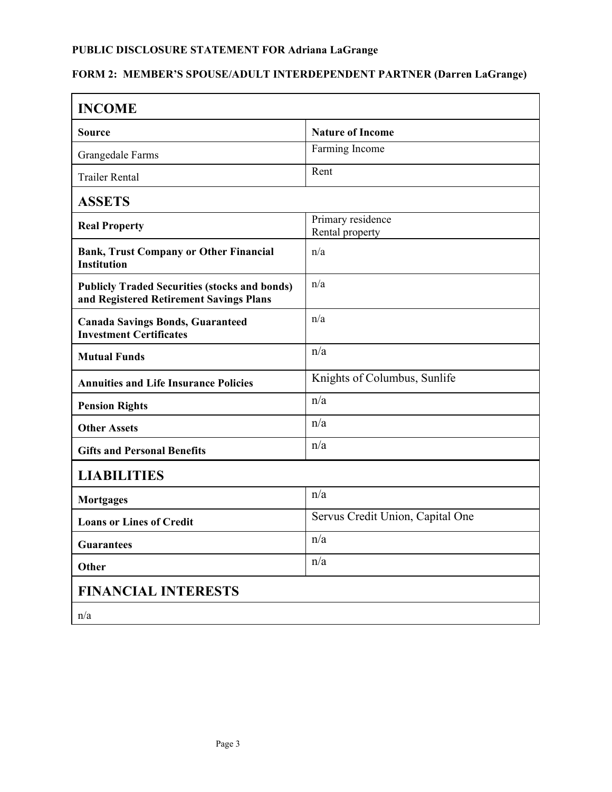## **PUBLIC DISCLOSURE STATEMENT FOR Adriana LaGrange**

# **FORM 2: MEMBER'S SPOUSE/ADULT INTERDEPENDENT PARTNER (Darren LaGrange)**

| <b>INCOME</b>                                                                                   |                                      |  |
|-------------------------------------------------------------------------------------------------|--------------------------------------|--|
| Source                                                                                          | <b>Nature of Income</b>              |  |
| Grangedale Farms                                                                                | Farming Income                       |  |
| <b>Trailer Rental</b>                                                                           | Rent                                 |  |
| <b>ASSETS</b>                                                                                   |                                      |  |
| <b>Real Property</b>                                                                            | Primary residence<br>Rental property |  |
| <b>Bank, Trust Company or Other Financial</b><br><b>Institution</b>                             | n/a                                  |  |
| <b>Publicly Traded Securities (stocks and bonds)</b><br>and Registered Retirement Savings Plans | n/a                                  |  |
| <b>Canada Savings Bonds, Guaranteed</b><br><b>Investment Certificates</b>                       | n/a                                  |  |
| <b>Mutual Funds</b>                                                                             | n/a                                  |  |
| <b>Annuities and Life Insurance Policies</b>                                                    | Knights of Columbus, Sunlife         |  |
| <b>Pension Rights</b>                                                                           | n/a                                  |  |
| <b>Other Assets</b>                                                                             | n/a                                  |  |
| <b>Gifts and Personal Benefits</b>                                                              | n/a                                  |  |
| <b>LIABILITIES</b>                                                                              |                                      |  |
| <b>Mortgages</b>                                                                                | n/a                                  |  |
| <b>Loans or Lines of Credit</b>                                                                 | Servus Credit Union, Capital One     |  |
| <b>Guarantees</b>                                                                               | n/a                                  |  |
| Other                                                                                           | n/a                                  |  |
| <b>FINANCIAL INTERESTS</b>                                                                      |                                      |  |
| n/a                                                                                             |                                      |  |